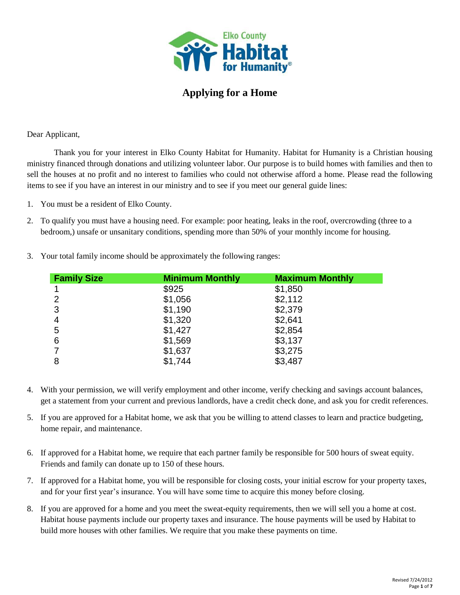

## **Applying for a Home**

Dear Applicant,

Thank you for your interest in Elko County Habitat for Humanity. Habitat for Humanity is a Christian housing ministry financed through donations and utilizing volunteer labor. Our purpose is to build homes with families and then to sell the houses at no profit and no interest to families who could not otherwise afford a home. Please read the following items to see if you have an interest in our ministry and to see if you meet our general guide lines:

- 1. You must be a resident of Elko County.
- 2. To qualify you must have a housing need. For example: poor heating, leaks in the roof, overcrowding (three to a bedroom,) unsafe or unsanitary conditions, spending more than 50% of your monthly income for housing.

| <b>Family Size</b> | <b>Minimum Monthly</b> | <b>Maximum Monthly</b> |
|--------------------|------------------------|------------------------|
|                    | \$925                  | \$1,850                |
| $\overline{2}$     | \$1,056                | \$2,112                |
| 3                  | \$1,190                | \$2,379                |
| 4                  | \$1,320                | \$2,641                |
| 5                  | \$1,427                | \$2,854                |
| 6                  | \$1,569                | \$3,137                |
|                    | \$1,637                | \$3,275                |
| 8                  | \$1,744                | \$3,487                |

3. Your total family income should be approximately the following ranges:

- 4. With your permission, we will verify employment and other income, verify checking and savings account balances, get a statement from your current and previous landlords, have a credit check done, and ask you for credit references.
- 5. If you are approved for a Habitat home, we ask that you be willing to attend classes to learn and practice budgeting, home repair, and maintenance.
- 6. If approved for a Habitat home, we require that each partner family be responsible for 500 hours of sweat equity. Friends and family can donate up to 150 of these hours.
- 7. If approved for a Habitat home, you will be responsible for closing costs, your initial escrow for your property taxes, and for your first year's insurance. You will have some time to acquire this money before closing.
- 8. If you are approved for a home and you meet the sweat-equity requirements, then we will sell you a home at cost. Habitat house payments include our property taxes and insurance. The house payments will be used by Habitat to build more houses with other families. We require that you make these payments on time.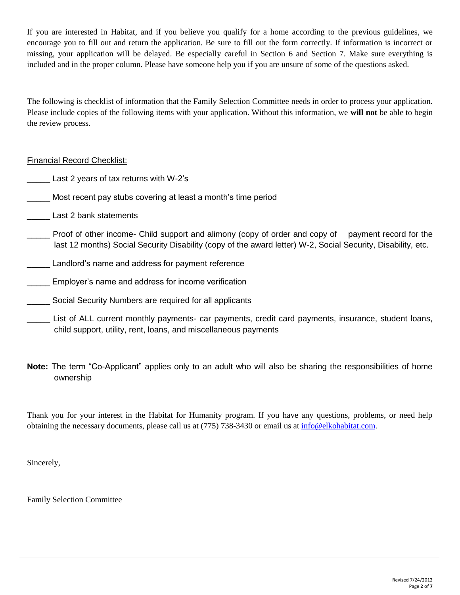If you are interested in Habitat, and if you believe you qualify for a home according to the previous guidelines, we encourage you to fill out and return the application. Be sure to fill out the form correctly. If information is incorrect or missing, your application will be delayed. Be especially careful in Section 6 and Section 7. Make sure everything is included and in the proper column. Please have someone help you if you are unsure of some of the questions asked.

The following is checklist of information that the Family Selection Committee needs in order to process your application. Please include copies of the following items with your application. Without this information, we **will not** be able to begin the review process.

### Financial Record Checklist:

- Last 2 years of tax returns with W-2's
- \_\_\_\_\_ Most recent pay stubs covering at least a month's time period
- \_\_\_\_\_ Last 2 bank statements
- Proof of other income- Child support and alimony (copy of order and copy of payment record for the last 12 months) Social Security Disability (copy of the award letter) W-2, Social Security, Disability, etc.
- Landlord's name and address for payment reference
- \_\_\_\_\_ Employer's name and address for income verification
- Social Security Numbers are required for all applicants
- List of ALL current monthly payments- car payments, credit card payments, insurance, student loans, child support, utility, rent, loans, and miscellaneous payments
- **Note:** The term "Co-Applicant" applies only to an adult who will also be sharing the responsibilities of home ownership

Thank you for your interest in the Habitat for Humanity program. If you have any questions, problems, or need help obtaining the necessary documents, please call us at (775) 738-3430 or email us at [info@elkohabitat.com.](mailto:info@elkohabitat.com)

Sincerely,

Family Selection Committee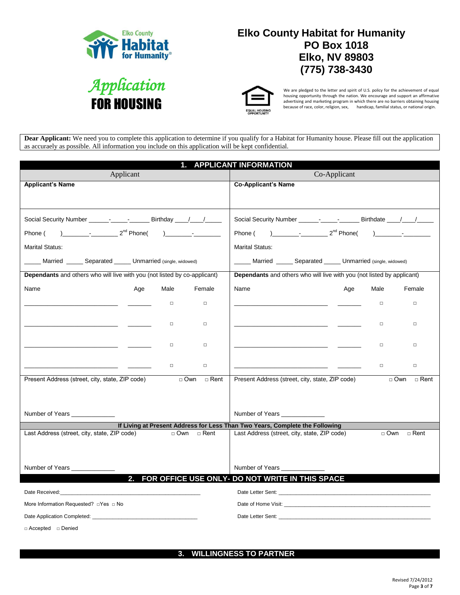

# **Elko County Habitat for Humanity PO Box 1018 Elko, NV 89803 (775) 738-3430**





We are pledged to the letter and spirit of U.S. policy for the achievement of equal housing opportunity through the nation. We encourage and support an affirmative<br>advertising and marketing program in which there are no barriers obtaining housing<br>because of race, color, religion, sex, handicap, fami

**Dear Applicant:** We need you to complete this application to determine if you qualify for a Habitat for Humanity house. Please fill out the application as accuraely as possible. All information you include on this application will be kept confidential.

| <b>APPLICANT INFORMATION</b><br>1.                                                                                                                                                                                             |                                                                                                                                                                                                                                                                                                                                                                                                                 |  |  |  |
|--------------------------------------------------------------------------------------------------------------------------------------------------------------------------------------------------------------------------------|-----------------------------------------------------------------------------------------------------------------------------------------------------------------------------------------------------------------------------------------------------------------------------------------------------------------------------------------------------------------------------------------------------------------|--|--|--|
| Applicant                                                                                                                                                                                                                      | Co-Applicant                                                                                                                                                                                                                                                                                                                                                                                                    |  |  |  |
| <b>Applicant's Name</b>                                                                                                                                                                                                        | <b>Co-Applicant's Name</b>                                                                                                                                                                                                                                                                                                                                                                                      |  |  |  |
|                                                                                                                                                                                                                                |                                                                                                                                                                                                                                                                                                                                                                                                                 |  |  |  |
| Social Security Number ___________________________ Birthday _____/_____/                                                                                                                                                       | Social Security Number _______ _____ _______ Birthdate ____/____/                                                                                                                                                                                                                                                                                                                                               |  |  |  |
| $2^{nd}$ Phone() $-$<br>Phone (                                                                                                                                                                                                | $2nd$ Phone(<br>Phone (<br>$\overline{a}$ $\overline{a}$ $\overline{a}$ $\overline{a}$ $\overline{a}$ $\overline{a}$ $\overline{a}$ $\overline{a}$ $\overline{a}$ $\overline{a}$ $\overline{a}$ $\overline{a}$ $\overline{a}$ $\overline{a}$ $\overline{a}$ $\overline{a}$ $\overline{a}$ $\overline{a}$ $\overline{a}$ $\overline{a}$ $\overline{a}$ $\overline{a}$ $\overline{a}$ $\overline{a}$ $\overline{$ |  |  |  |
| <b>Marital Status:</b>                                                                                                                                                                                                         | <b>Marital Status:</b>                                                                                                                                                                                                                                                                                                                                                                                          |  |  |  |
| Married ______ Separated ______ Unmarried (single, widowed)                                                                                                                                                                    | Married ______ Separated ______ Unmarried (single, widowed)                                                                                                                                                                                                                                                                                                                                                     |  |  |  |
| Dependants and others who will live with you (not listed by co-applicant)                                                                                                                                                      | Dependants and others who will live with you (not listed by applicant)                                                                                                                                                                                                                                                                                                                                          |  |  |  |
| Name<br>Female<br>Age<br>Male                                                                                                                                                                                                  | Female<br>Name<br>Age<br>Male                                                                                                                                                                                                                                                                                                                                                                                   |  |  |  |
| $\Box$<br>$\Box$                                                                                                                                                                                                               | $\Box$<br>$\Box$                                                                                                                                                                                                                                                                                                                                                                                                |  |  |  |
|                                                                                                                                                                                                                                |                                                                                                                                                                                                                                                                                                                                                                                                                 |  |  |  |
| $\Box$<br>$\Box$                                                                                                                                                                                                               | $\Box$<br>$\Box$<br>the company of the company of the                                                                                                                                                                                                                                                                                                                                                           |  |  |  |
| $\Box$<br>$\Box$                                                                                                                                                                                                               | <u> 1980 - Andrea Albert III, poet et al. et al. et al. et al. et al. et al. et al. et al. et al. et al. et al. e</u><br>$\Box$<br>$\Box$                                                                                                                                                                                                                                                                       |  |  |  |
|                                                                                                                                                                                                                                |                                                                                                                                                                                                                                                                                                                                                                                                                 |  |  |  |
| $\Box$<br>$\Box$                                                                                                                                                                                                               | $\Box$<br>$\Box$                                                                                                                                                                                                                                                                                                                                                                                                |  |  |  |
| Present Address (street, city, state, ZIP code)<br>$\Box$ Own<br>□ Rent                                                                                                                                                        | Present Address (street, city, state, ZIP code)<br>$\Box$ Own<br>$\sqcap$ Rent                                                                                                                                                                                                                                                                                                                                  |  |  |  |
|                                                                                                                                                                                                                                |                                                                                                                                                                                                                                                                                                                                                                                                                 |  |  |  |
| Number of Years ______________                                                                                                                                                                                                 | Number of Years ______________                                                                                                                                                                                                                                                                                                                                                                                  |  |  |  |
|                                                                                                                                                                                                                                | If Living at Present Address for Less Than Two Years, Complete the Following                                                                                                                                                                                                                                                                                                                                    |  |  |  |
| Last Address (street, city, state, ZIP code)<br>□ Own □ Rent                                                                                                                                                                   | Last Address (street, city, state, ZIP code)<br>$\Box$ Own $\Box$ Rent                                                                                                                                                                                                                                                                                                                                          |  |  |  |
|                                                                                                                                                                                                                                |                                                                                                                                                                                                                                                                                                                                                                                                                 |  |  |  |
|                                                                                                                                                                                                                                |                                                                                                                                                                                                                                                                                                                                                                                                                 |  |  |  |
| Number of Years _______________<br>2.                                                                                                                                                                                          | Number of Years<br>FOR OFFICE USE ONLY- DO NOT WRITE IN THIS SPACE                                                                                                                                                                                                                                                                                                                                              |  |  |  |
|                                                                                                                                                                                                                                |                                                                                                                                                                                                                                                                                                                                                                                                                 |  |  |  |
| Date Received: Note that the state of the state of the state of the state of the state of the state of the state of the state of the state of the state of the state of the state of the state of the state of the state of th |                                                                                                                                                                                                                                                                                                                                                                                                                 |  |  |  |
| More Information Requested? □ Yes □ No                                                                                                                                                                                         |                                                                                                                                                                                                                                                                                                                                                                                                                 |  |  |  |
|                                                                                                                                                                                                                                |                                                                                                                                                                                                                                                                                                                                                                                                                 |  |  |  |
| □ Accepted □ Denied                                                                                                                                                                                                            |                                                                                                                                                                                                                                                                                                                                                                                                                 |  |  |  |

**3. WILLINGNESS TO PARTNER**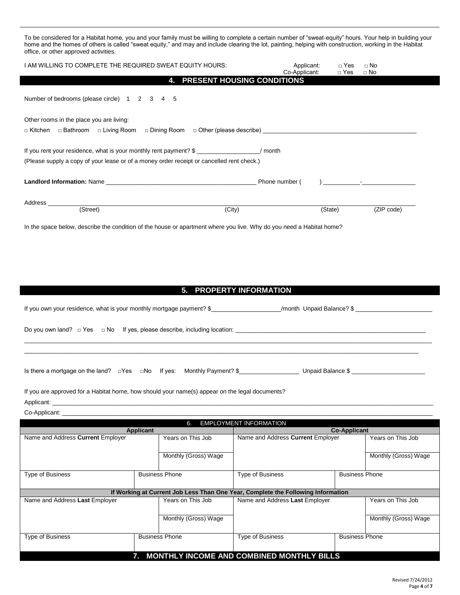To be considered for a Habitat home, you and your family must be willing to complete a certain number of "sweat-equity" hours. Your help in building your home and the homes of others is called "sweat equity," and may and include clearing the lot, painting, helping with construction, working in the Habitat office, or other approved activities.

| I AM WILLING TO COMPLETE THE REQUIRED SWEAT EQUITY HOURS:                                                                                                      | Applicant:<br>Co-Applicant: | $\Box$ Yes<br>$\Box$ Yes | $\Box$ No<br>$\Box$ No |
|----------------------------------------------------------------------------------------------------------------------------------------------------------------|-----------------------------|--------------------------|------------------------|
| <b>4. PRESENT HOUSING CONDITIONS</b>                                                                                                                           |                             |                          |                        |
| Number of bedrooms (please circle) 1 2 3 4 5                                                                                                                   |                             |                          |                        |
| Other rooms in the place you are living:                                                                                                                       |                             |                          |                        |
|                                                                                                                                                                |                             |                          |                        |
| If you rent your residence, what is your monthly rent payment? \$<br>(Please supply a copy of your lease or of a money order receipt or cancelled rent check.) |                             |                          |                        |
| Landlord Information: Name example and the set of the set of the set of the Phone number (contract of the set o                                                |                             |                          |                        |
| Address                                                                                                                                                        |                             |                          |                        |
| (Street)<br>(City)                                                                                                                                             |                             | (State)                  | (ZIP code)             |
| In the space below, describe the condition of the house or apartment where you live. Why do you need a Habitat home?                                           |                             |                          |                        |

#### **5. PROPERTY INFORMATION**

| If you own your residence, what is your monthly mortgage payment? \$               |  |                                                                                   | /month Unpaid Balance? \$ |
|------------------------------------------------------------------------------------|--|-----------------------------------------------------------------------------------|---------------------------|
| Do you own land? $\Box$ Yes $\Box$ No If yes, please describe, including location: |  |                                                                                   |                           |
|                                                                                    |  |                                                                                   |                           |
|                                                                                    |  | Is there a mortgage on the land? $\Box$ Yes $\Box$ No If yes: Monthly Payment? \$ | Unpaid Balance \$         |

If you are approved for a Habitat home, how should your name(s) appear on the legal documents? Applicant: \_\_\_\_\_\_\_\_\_\_\_\_\_\_\_\_\_\_\_\_\_\_\_\_\_\_\_\_\_\_\_\_\_\_\_\_\_\_\_\_\_\_\_\_\_\_\_\_\_\_\_\_\_\_\_\_\_\_\_\_\_\_\_\_\_\_\_\_\_\_\_\_\_\_\_\_\_\_\_\_\_\_\_\_\_\_\_\_\_\_\_\_\_\_\_\_\_\_\_\_\_\_\_\_\_\_\_\_\_\_\_\_\_\_

Co-Applicant:

| <b>EMPLOYMENT INFORMATION</b><br>6.              |  |                       |                                                                                  |                       |                      |  |
|--------------------------------------------------|--|-----------------------|----------------------------------------------------------------------------------|-----------------------|----------------------|--|
| <b>Applicant</b>                                 |  |                       | <b>Co-Applicant</b>                                                              |                       |                      |  |
| Name and Address Current Employer                |  | Years on This Job     | Name and Address Current Employer                                                |                       | Years on This Job    |  |
|                                                  |  |                       |                                                                                  |                       |                      |  |
|                                                  |  | Monthly (Gross) Wage  |                                                                                  |                       | Monthly (Gross) Wage |  |
|                                                  |  |                       |                                                                                  |                       |                      |  |
| <b>Type of Business</b>                          |  | <b>Business Phone</b> | <b>Type of Business</b>                                                          | <b>Business Phone</b> |                      |  |
|                                                  |  |                       |                                                                                  |                       |                      |  |
|                                                  |  |                       | If Working at Current Job Less Than One Year, Complete the Following Information |                       |                      |  |
| Name and Address Last Employer                   |  | Years on This Job     | Name and Address Last Employer                                                   |                       | Years on This Job    |  |
|                                                  |  |                       |                                                                                  |                       |                      |  |
|                                                  |  | Monthly (Gross) Wage  |                                                                                  |                       | Monthly (Gross) Wage |  |
|                                                  |  |                       |                                                                                  |                       |                      |  |
| <b>Business Phone</b><br><b>Type of Business</b> |  |                       | <b>Type of Business</b>                                                          | <b>Business Phone</b> |                      |  |
|                                                  |  |                       |                                                                                  |                       |                      |  |
|                                                  |  |                       | <b>MONTHLY INCOME AND COMBINED MONTHLY BILLS</b>                                 |                       |                      |  |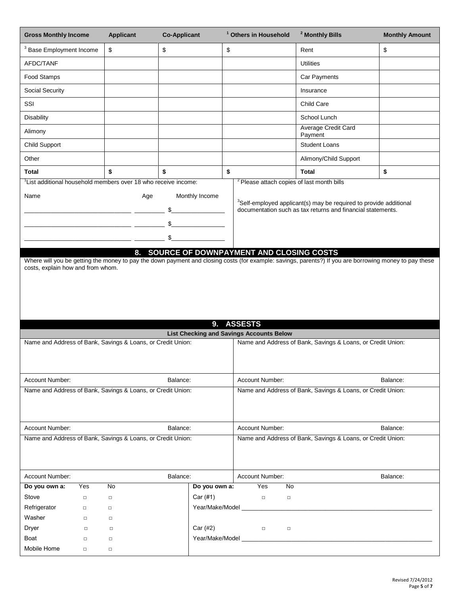| <b>Gross Monthly Income</b>                                                                                                                                                   | <b>Applicant</b> | <b>Co-Applicant</b>        | <sup>1</sup> Others in Household                      | <sup>2</sup> Monthly Bills                                                                                                                             | <b>Monthly Amount</b> |
|-------------------------------------------------------------------------------------------------------------------------------------------------------------------------------|------------------|----------------------------|-------------------------------------------------------|--------------------------------------------------------------------------------------------------------------------------------------------------------|-----------------------|
| <sup>3</sup> Base Employment Income                                                                                                                                           | \$               | \$                         | \$                                                    | Rent                                                                                                                                                   | \$                    |
| AFDC/TANF                                                                                                                                                                     |                  |                            |                                                       | <b>Utilities</b>                                                                                                                                       |                       |
| Food Stamps                                                                                                                                                                   |                  |                            |                                                       | Car Payments                                                                                                                                           |                       |
| Social Security                                                                                                                                                               |                  |                            |                                                       | Insurance                                                                                                                                              |                       |
| SSI                                                                                                                                                                           |                  |                            |                                                       | Child Care                                                                                                                                             |                       |
| Disability                                                                                                                                                                    |                  |                            |                                                       | School Lunch                                                                                                                                           |                       |
| Alimony                                                                                                                                                                       |                  |                            |                                                       | Average Credit Card<br>Payment                                                                                                                         |                       |
| Child Support                                                                                                                                                                 |                  |                            |                                                       | <b>Student Loans</b>                                                                                                                                   |                       |
| Other                                                                                                                                                                         |                  |                            |                                                       | Alimony/Child Support                                                                                                                                  |                       |
| Total                                                                                                                                                                         | \$               | \$                         | \$                                                    | <b>Total</b>                                                                                                                                           | \$                    |
| List additional household members over 18 who receive income:                                                                                                                 |                  |                            | <sup>2</sup> Please attach copies of last month bills |                                                                                                                                                        |                       |
| Name                                                                                                                                                                          | Age              | Monthly Income<br>\$<br>\$ |                                                       | <sup>3</sup> Self-employed applicant(s) may be required to provide additional<br>documentation such as tax returns and financial statements.           |                       |
|                                                                                                                                                                               |                  |                            |                                                       |                                                                                                                                                        |                       |
| costs, explain how and from whom.                                                                                                                                             |                  |                            |                                                       | Where will you be getting the money to pay the down payment and closing costs (for example: savings, parents?) If you are borrowing money to pay these |                       |
|                                                                                                                                                                               |                  |                            |                                                       |                                                                                                                                                        |                       |
|                                                                                                                                                                               |                  |                            |                                                       |                                                                                                                                                        |                       |
|                                                                                                                                                                               |                  | 9.                         | <b>ASSESTS</b>                                        |                                                                                                                                                        |                       |
| <b>List Checking and Savings Accounts Below</b><br>Name and Address of Bank, Savings & Loans, or Credit Union:<br>Name and Address of Bank, Savings & Loans, or Credit Union: |                  |                            |                                                       |                                                                                                                                                        |                       |
|                                                                                                                                                                               |                  |                            |                                                       |                                                                                                                                                        |                       |
| Account Number:                                                                                                                                                               |                  | Balance:                   | Account Number:                                       |                                                                                                                                                        | Balance:              |
| Name and Address of Bank, Savings & Loans, or Credit Union:                                                                                                                   |                  |                            |                                                       | Name and Address of Bank, Savings & Loans, or Credit Union:                                                                                            |                       |
| Account Number:                                                                                                                                                               |                  | Balance:                   | Account Number:                                       |                                                                                                                                                        | Balance:              |
| Name and Address of Bank, Savings & Loans, or Credit Union:                                                                                                                   |                  |                            |                                                       | Name and Address of Bank, Savings & Loans, or Credit Union:                                                                                            |                       |
|                                                                                                                                                                               |                  |                            |                                                       |                                                                                                                                                        |                       |
| Account Number:                                                                                                                                                               |                  | Balance:                   | Account Number:                                       |                                                                                                                                                        | Balance:              |
| Do you own a:<br>Yes                                                                                                                                                          | No               | Do you own a:              | Yes<br>No                                             |                                                                                                                                                        |                       |
| Stove<br>$\Box$                                                                                                                                                               | $\Box$           | Car (#1)                   | $\Box$<br>$\Box$                                      |                                                                                                                                                        |                       |
| Refrigerator<br>$\Box$                                                                                                                                                        | $\Box$           |                            | Year/Make/Model ___________                           |                                                                                                                                                        |                       |
| Washer<br>$\Box$                                                                                                                                                              | $\Box$           |                            |                                                       |                                                                                                                                                        |                       |
| Dryer<br>$\Box$                                                                                                                                                               | $\Box$           | Car (#2)                   | $\Box$<br>$\Box$                                      |                                                                                                                                                        |                       |
| Boat<br>$\Box$                                                                                                                                                                | $\Box$           |                            |                                                       |                                                                                                                                                        |                       |
| Mobile Home<br>$\Box$                                                                                                                                                         | $\Box$           |                            |                                                       |                                                                                                                                                        |                       |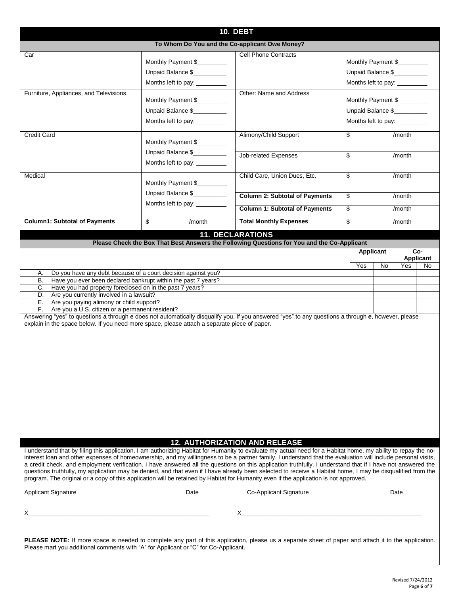| To Whom Do You and the Co-applicant Owe Money?<br><b>Cell Phone Contracts</b><br>Car<br>Monthly Payment \$<br>Monthly Payment \$<br>Unpaid Balance \$<br>Unpaid Balance \$<br>Months left to pay: _________<br>Months left to pay: _________<br>Other: Name and Address<br>Furniture, Appliances, and Televisions<br>Monthly Payment \$<br>Monthly Payment \$<br>Unpaid Balance \$<br>Unpaid Balance \$<br>Months left to pay: _________<br>Months left to pay: _________<br>Alimony/Child Support<br>\$<br><b>Credit Card</b><br>/month<br>Monthly Payment \$<br>Unpaid Balance \$<br>Job-related Expenses<br>\$<br>/month<br>Months left to pay: _________<br>Medical<br>Child Care, Union Dues, Etc.<br>\$<br>/month<br>Monthly Payment \$<br>Unpaid Balance \$<br><b>Column 2: Subtotal of Payments</b><br>\$<br>/month<br>Months left to pay: _______<br>\$<br><b>Column 1: Subtotal of Payments</b><br>/month<br><b>Column1: Subtotal of Payments</b><br>\$<br><b>Total Monthly Expenses</b><br>\$<br>/month<br>/month<br><b>11. DECLARATIONS</b><br>Please Check the Box That Best Answers the Following Questions for You and the Co-Applicant<br>Co-<br><b>Applicant</b><br>Applicant<br>Yes<br>No<br>Yes<br>No<br>Do you have any debt because of a court decision against you?<br>А.<br>В.<br>Have you ever been declared bankrupt within the past 7 years?<br>Have you had property foreclosed on in the past 7 years?<br>C.<br>Are you currently involved in a lawsuit?<br>D.<br>Are you paying alimony or child support?<br>Е.<br>Are you a U.S. citizen or a permanent resident?<br>F.<br>Answering "yes" to questions a through e does not automatically disqualify you. If you answered "yes" to any questions a through e, however, please<br>explain in the space below. If you need more space, please attach a separate piece of paper.<br><b>12. AUTHORIZATION AND RELEASE</b><br>I understand that by filing this application, I am authorizing Habitat for Humanity to evaluate my actual need for a Habitat home, my ability to repay the no-<br>interest loan and other expenses of homeownership, and my willingness to be a partner family. I understand that the evaluation will include personal visits,<br>a credit check, and employment verification. I have answered all the questions on this application truthfully. I understand that if I have not answered the<br>questions truthfully, my application may be denied, and that even if I have already been selected to receive a Habitat home, I may be disqualified from the<br>program. The original or a copy of this application will be retained by Habitat for Humanity even if the application is not approved.<br><b>Applicant Signature</b><br>Co-Applicant Signature<br>Date<br>Date<br>PLEASE NOTE: If more space is needed to complete any part of this application, please us a separate sheet of paper and attach it to the application.<br>Please mart you additional comments with "A" for Applicant or "C" for Co-Applicant. | <b>10. DEBT</b> |  |  |  |  |  |  |
|--------------------------------------------------------------------------------------------------------------------------------------------------------------------------------------------------------------------------------------------------------------------------------------------------------------------------------------------------------------------------------------------------------------------------------------------------------------------------------------------------------------------------------------------------------------------------------------------------------------------------------------------------------------------------------------------------------------------------------------------------------------------------------------------------------------------------------------------------------------------------------------------------------------------------------------------------------------------------------------------------------------------------------------------------------------------------------------------------------------------------------------------------------------------------------------------------------------------------------------------------------------------------------------------------------------------------------------------------------------------------------------------------------------------------------------------------------------------------------------------------------------------------------------------------------------------------------------------------------------------------------------------------------------------------------------------------------------------------------------------------------------------------------------------------------------------------------------------------------------------------------------------------------------------------------------------------------------------------------------------------------------------------------------------------------------------------------------------------------------------------------------------------------------------------------------------------------------------------------------------------------------------------------------------------------------------------------------------------------------------------------------------------------------------------------------------------------------------------------------------------------------------------------------------------------------------------------------------------------------------------------------------------------------------------------------------------------------------------------------------------------------------------------------------------------------------------------------------------------------------------------------------------------------------------------------------------------------------------------------------------------------------------------------|-----------------|--|--|--|--|--|--|
|                                                                                                                                                                                                                                                                                                                                                                                                                                                                                                                                                                                                                                                                                                                                                                                                                                                                                                                                                                                                                                                                                                                                                                                                                                                                                                                                                                                                                                                                                                                                                                                                                                                                                                                                                                                                                                                                                                                                                                                                                                                                                                                                                                                                                                                                                                                                                                                                                                                                                                                                                                                                                                                                                                                                                                                                                                                                                                                                                                                                                                      |                 |  |  |  |  |  |  |
|                                                                                                                                                                                                                                                                                                                                                                                                                                                                                                                                                                                                                                                                                                                                                                                                                                                                                                                                                                                                                                                                                                                                                                                                                                                                                                                                                                                                                                                                                                                                                                                                                                                                                                                                                                                                                                                                                                                                                                                                                                                                                                                                                                                                                                                                                                                                                                                                                                                                                                                                                                                                                                                                                                                                                                                                                                                                                                                                                                                                                                      |                 |  |  |  |  |  |  |
|                                                                                                                                                                                                                                                                                                                                                                                                                                                                                                                                                                                                                                                                                                                                                                                                                                                                                                                                                                                                                                                                                                                                                                                                                                                                                                                                                                                                                                                                                                                                                                                                                                                                                                                                                                                                                                                                                                                                                                                                                                                                                                                                                                                                                                                                                                                                                                                                                                                                                                                                                                                                                                                                                                                                                                                                                                                                                                                                                                                                                                      |                 |  |  |  |  |  |  |
|                                                                                                                                                                                                                                                                                                                                                                                                                                                                                                                                                                                                                                                                                                                                                                                                                                                                                                                                                                                                                                                                                                                                                                                                                                                                                                                                                                                                                                                                                                                                                                                                                                                                                                                                                                                                                                                                                                                                                                                                                                                                                                                                                                                                                                                                                                                                                                                                                                                                                                                                                                                                                                                                                                                                                                                                                                                                                                                                                                                                                                      |                 |  |  |  |  |  |  |
|                                                                                                                                                                                                                                                                                                                                                                                                                                                                                                                                                                                                                                                                                                                                                                                                                                                                                                                                                                                                                                                                                                                                                                                                                                                                                                                                                                                                                                                                                                                                                                                                                                                                                                                                                                                                                                                                                                                                                                                                                                                                                                                                                                                                                                                                                                                                                                                                                                                                                                                                                                                                                                                                                                                                                                                                                                                                                                                                                                                                                                      |                 |  |  |  |  |  |  |
|                                                                                                                                                                                                                                                                                                                                                                                                                                                                                                                                                                                                                                                                                                                                                                                                                                                                                                                                                                                                                                                                                                                                                                                                                                                                                                                                                                                                                                                                                                                                                                                                                                                                                                                                                                                                                                                                                                                                                                                                                                                                                                                                                                                                                                                                                                                                                                                                                                                                                                                                                                                                                                                                                                                                                                                                                                                                                                                                                                                                                                      |                 |  |  |  |  |  |  |
|                                                                                                                                                                                                                                                                                                                                                                                                                                                                                                                                                                                                                                                                                                                                                                                                                                                                                                                                                                                                                                                                                                                                                                                                                                                                                                                                                                                                                                                                                                                                                                                                                                                                                                                                                                                                                                                                                                                                                                                                                                                                                                                                                                                                                                                                                                                                                                                                                                                                                                                                                                                                                                                                                                                                                                                                                                                                                                                                                                                                                                      |                 |  |  |  |  |  |  |
|                                                                                                                                                                                                                                                                                                                                                                                                                                                                                                                                                                                                                                                                                                                                                                                                                                                                                                                                                                                                                                                                                                                                                                                                                                                                                                                                                                                                                                                                                                                                                                                                                                                                                                                                                                                                                                                                                                                                                                                                                                                                                                                                                                                                                                                                                                                                                                                                                                                                                                                                                                                                                                                                                                                                                                                                                                                                                                                                                                                                                                      |                 |  |  |  |  |  |  |
|                                                                                                                                                                                                                                                                                                                                                                                                                                                                                                                                                                                                                                                                                                                                                                                                                                                                                                                                                                                                                                                                                                                                                                                                                                                                                                                                                                                                                                                                                                                                                                                                                                                                                                                                                                                                                                                                                                                                                                                                                                                                                                                                                                                                                                                                                                                                                                                                                                                                                                                                                                                                                                                                                                                                                                                                                                                                                                                                                                                                                                      |                 |  |  |  |  |  |  |
|                                                                                                                                                                                                                                                                                                                                                                                                                                                                                                                                                                                                                                                                                                                                                                                                                                                                                                                                                                                                                                                                                                                                                                                                                                                                                                                                                                                                                                                                                                                                                                                                                                                                                                                                                                                                                                                                                                                                                                                                                                                                                                                                                                                                                                                                                                                                                                                                                                                                                                                                                                                                                                                                                                                                                                                                                                                                                                                                                                                                                                      |                 |  |  |  |  |  |  |
|                                                                                                                                                                                                                                                                                                                                                                                                                                                                                                                                                                                                                                                                                                                                                                                                                                                                                                                                                                                                                                                                                                                                                                                                                                                                                                                                                                                                                                                                                                                                                                                                                                                                                                                                                                                                                                                                                                                                                                                                                                                                                                                                                                                                                                                                                                                                                                                                                                                                                                                                                                                                                                                                                                                                                                                                                                                                                                                                                                                                                                      |                 |  |  |  |  |  |  |
|                                                                                                                                                                                                                                                                                                                                                                                                                                                                                                                                                                                                                                                                                                                                                                                                                                                                                                                                                                                                                                                                                                                                                                                                                                                                                                                                                                                                                                                                                                                                                                                                                                                                                                                                                                                                                                                                                                                                                                                                                                                                                                                                                                                                                                                                                                                                                                                                                                                                                                                                                                                                                                                                                                                                                                                                                                                                                                                                                                                                                                      |                 |  |  |  |  |  |  |
|                                                                                                                                                                                                                                                                                                                                                                                                                                                                                                                                                                                                                                                                                                                                                                                                                                                                                                                                                                                                                                                                                                                                                                                                                                                                                                                                                                                                                                                                                                                                                                                                                                                                                                                                                                                                                                                                                                                                                                                                                                                                                                                                                                                                                                                                                                                                                                                                                                                                                                                                                                                                                                                                                                                                                                                                                                                                                                                                                                                                                                      |                 |  |  |  |  |  |  |
|                                                                                                                                                                                                                                                                                                                                                                                                                                                                                                                                                                                                                                                                                                                                                                                                                                                                                                                                                                                                                                                                                                                                                                                                                                                                                                                                                                                                                                                                                                                                                                                                                                                                                                                                                                                                                                                                                                                                                                                                                                                                                                                                                                                                                                                                                                                                                                                                                                                                                                                                                                                                                                                                                                                                                                                                                                                                                                                                                                                                                                      |                 |  |  |  |  |  |  |
|                                                                                                                                                                                                                                                                                                                                                                                                                                                                                                                                                                                                                                                                                                                                                                                                                                                                                                                                                                                                                                                                                                                                                                                                                                                                                                                                                                                                                                                                                                                                                                                                                                                                                                                                                                                                                                                                                                                                                                                                                                                                                                                                                                                                                                                                                                                                                                                                                                                                                                                                                                                                                                                                                                                                                                                                                                                                                                                                                                                                                                      |                 |  |  |  |  |  |  |
|                                                                                                                                                                                                                                                                                                                                                                                                                                                                                                                                                                                                                                                                                                                                                                                                                                                                                                                                                                                                                                                                                                                                                                                                                                                                                                                                                                                                                                                                                                                                                                                                                                                                                                                                                                                                                                                                                                                                                                                                                                                                                                                                                                                                                                                                                                                                                                                                                                                                                                                                                                                                                                                                                                                                                                                                                                                                                                                                                                                                                                      |                 |  |  |  |  |  |  |
|                                                                                                                                                                                                                                                                                                                                                                                                                                                                                                                                                                                                                                                                                                                                                                                                                                                                                                                                                                                                                                                                                                                                                                                                                                                                                                                                                                                                                                                                                                                                                                                                                                                                                                                                                                                                                                                                                                                                                                                                                                                                                                                                                                                                                                                                                                                                                                                                                                                                                                                                                                                                                                                                                                                                                                                                                                                                                                                                                                                                                                      |                 |  |  |  |  |  |  |
|                                                                                                                                                                                                                                                                                                                                                                                                                                                                                                                                                                                                                                                                                                                                                                                                                                                                                                                                                                                                                                                                                                                                                                                                                                                                                                                                                                                                                                                                                                                                                                                                                                                                                                                                                                                                                                                                                                                                                                                                                                                                                                                                                                                                                                                                                                                                                                                                                                                                                                                                                                                                                                                                                                                                                                                                                                                                                                                                                                                                                                      |                 |  |  |  |  |  |  |